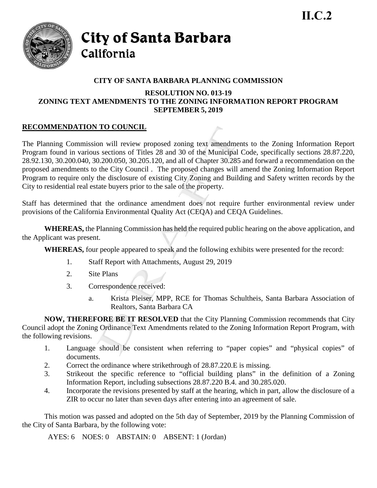

City of Santa Barbara California

## **CITY OF SANTA BARBARA PLANNING COMMISSION**

### **RESOLUTION NO. 013-19 ZONING TEXT AMENDMENTS TO THE ZONING INFORMATION REPORT PROGRAM SEPTEMBER 5, 2019**

# **RECOMMENDATION TO COUNCIL**

The Planning Commission will review proposed zoning text amendments to the Zoning Information Report Program found in various sections of Titles 28 and 30 of the Municipal Code, specifically sections 28.87.220, 28.92.130, 30.200.040, 30.200.050, 30.205.120, and all of Chapter 30.285 and forward a recommendation on the proposed amendments to the City Council . The proposed changes will amend the Zoning Information Report Program to require only the disclosure of existing City Zoning and Building and Safety written records by the City to residential real estate buyers prior to the sale of the property.

Staff has determined that the ordinance amendment does not require further environmental review under provisions of the California Environmental Quality Act (CEQA) and CEQA Guidelines.

**WHEREAS,** the Planning Commission has held the required public hearing on the above application, and the Applicant was present.

**WHEREAS,** four people appeared to speak and the following exhibits were presented for the record:

- 1. Staff Report with Attachments, August 29, 2019
- 2. Site Plans
- 3. Correspondence received:
	- a. Krista Pleiser, MPP, RCE for Thomas Schultheis, Santa Barbara Association of Realtors, Santa Barbara CA

**NOW, THEREFORE BE IT RESOLVED** that the City Planning Commission recommends that City Council adopt the Zoning Ordinance Text Amendments related to the Zoning Information Report Program, with the following revisions.

- 1. Language should be consistent when referring to "paper copies" and "physical copies" of documents.
- 2. Correct the ordinance where strikethrough of 28.87.220.E is missing.
- 3. Strikeout the specific reference to "official building plans" in the definition of a Zoning Information Report, including subsections 28.87.220 B.4. and 30.285.020.
- 4. Incorporate the revisions presented by staff at the hearing, which in part, allow the disclosure of a ZIR to occur no later than seven days after entering into an agreement of sale.

This motion was passed and adopted on the 5th day of September, 2019 by the Planning Commission of the City of Santa Barbara, by the following vote:

AYES: 6 NOES: 0 ABSTAIN: 0 ABSENT: 1 (Jordan)